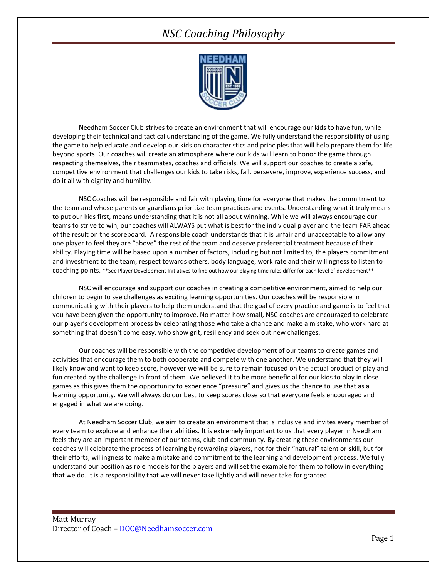## *NSC Coaching Philosophy*



Needham Soccer Club strives to create an environment that will encourage our kids to have fun, while developing their technical and tactical understanding of the game. We fully understand the responsibility of using the game to help educate and develop our kids on characteristics and principles that will help prepare them for life beyond sports. Our coaches will create an atmosphere where our kids will learn to honor the game through respecting themselves, their teammates, coaches and officials. We will support our coaches to create a safe, competitive environment that challenges our kids to take risks, fail, persevere, improve, experience success, and do it all with dignity and humility.

NSC Coaches will be responsible and fair with playing time for everyone that makes the commitment to the team and whose parents or guardians prioritize team practices and events. Understanding what it truly means to put our kids first, means understanding that it is not all about winning. While we will always encourage our teams to strive to win, our coaches will ALWAYS put what is best for the individual player and the team FAR ahead of the result on the scoreboard. A responsible coach understands that it is unfair and unacceptable to allow any one player to feel they are "above" the rest of the team and deserve preferential treatment because of their ability. Playing time will be based upon a number of factors, including but not limited to, the players commitment and investment to the team, respect towards others, body language, work rate and their willingness to listen to coaching points. \*\*See Player Development Initiatives to find out how our playing time rules differ for each level of development\*\*

NSC will encourage and support our coaches in creating a competitive environment, aimed to help our children to begin to see challenges as exciting learning opportunities. Our coaches will be responsible in communicating with their players to help them understand that the goal of every practice and game is to feel that you have been given the opportunity to improve. No matter how small, NSC coaches are encouraged to celebrate our player's development process by celebrating those who take a chance and make a mistake, who work hard at something that doesn't come easy, who show grit, resiliency and seek out new challenges.

Our coaches will be responsible with the competitive development of our teams to create games and activities that encourage them to both cooperate and compete with one another. We understand that they will likely know and want to keep score, however we will be sure to remain focused on the actual product of play and fun created by the challenge in front of them. We believed it to be more beneficial for our kids to play in close games as this gives them the opportunity to experience "pressure" and gives us the chance to use that as a learning opportunity. We will always do our best to keep scores close so that everyone feels encouraged and engaged in what we are doing.

At Needham Soccer Club, we aim to create an environment that is inclusive and invites every member of every team to explore and enhance their abilities. It is extremely important to us that every player in Needham feels they are an important member of our teams, club and community. By creating these environments our coaches will celebrate the process of learning by rewarding players, not for their "natural" talent or skill, but for their efforts, willingness to make a mistake and commitment to the learning and development process. We fully understand our position as role models for the players and will set the example for them to follow in everything that we do. It is a responsibility that we will never take lightly and will never take for granted.